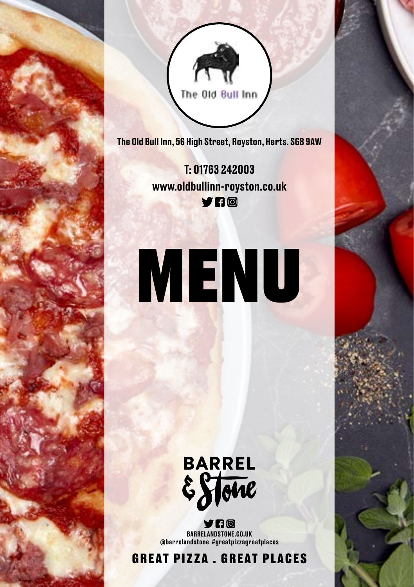

The Old Bull Inn, 56 High Street, Royston, Herts. SG8 9AW

**Price's Avenue, Ramsgate,** www.oldbullinn-royston.co.uk T: 01763 242003

**Kent. CT11** 0

### **BAPRIS** MENU

To Order Call

 $12$ 

## BARREL<br>ESTOUE

YAA @barrelandstone #greatpizzagreatplaces BARRELANDSTONE.CO.UK @barrelandstone #greatpizzagreatplaces

GREAT PIZZA . GREAT PLACES GREAT PIZZA . GREAT PLACES